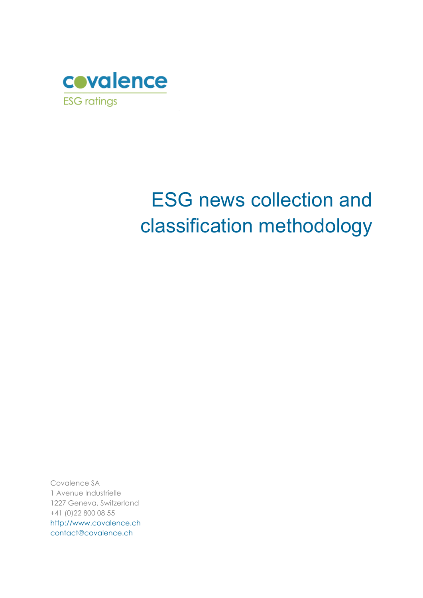

# ESG news collection and classification methodology

Covalence SA 1 Avenue Industrielle 1227 Geneva, Switzerland +41 (0)22 800 08 55 [http://www.covalence.ch](http://www.covalence.ch/) [contact@covalence.ch](mailto:contact@covalence.ch)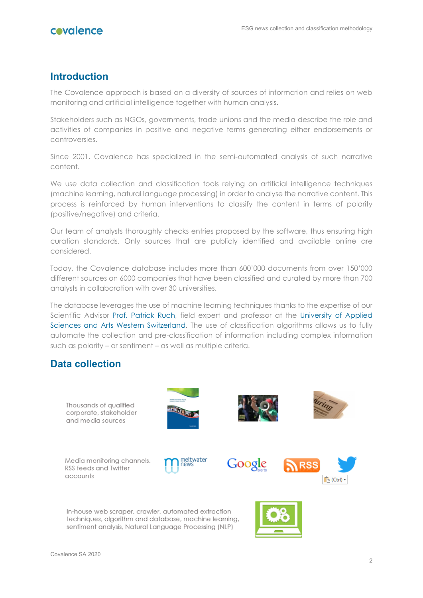

## **Introduction**

The Covalence approach is based on a diversity of sources of information and relies on web monitoring and artificial intelligence together with human analysis.

Stakeholders such as NGOs, governments, trade unions and the media describe the role and activities of companies in positive and negative terms generating either endorsements or controversies.

Since 2001, Covalence has specialized in the semi-automated analysis of such narrative content.

We use data collection and classification tools relying on artificial intelligence techniques (machine learning, natural language processing) in order to analyse the narrative content. This process is reinforced by human interventions to classify the content in terms of polarity (positive/negative) and criteria.

Our team of analysts thoroughly checks entries proposed by the software, thus ensuring high curation standards. Only sources that are publicly identified and available online are considered.

Today, the Covalence database includes more than 600'000 documents from over 150'000 different sources on 6000 companies that have been classified and curated by more than 700 analysts in collaboration with over 30 universities.

The database leverages the use of machine learning techniques thanks to the expertise of our Scientific Advisor [Prof. Patrick Ruch,](https://www.covalence.ch/index.php/staff-member/patrick-ruch/) field expert and professor at the [University of Applied](https://www.hesge.ch/heg/annuaire/patrick-ruch/actualites)  [Sciences and Arts Western Switzerland.](https://www.hesge.ch/heg/annuaire/patrick-ruch/actualites) The use of classification algorithms allows us to fully automate the collection and pre-classification of information including complex information such as polarity – or sentiment – as well as multiple criteria.

## **Data collection**

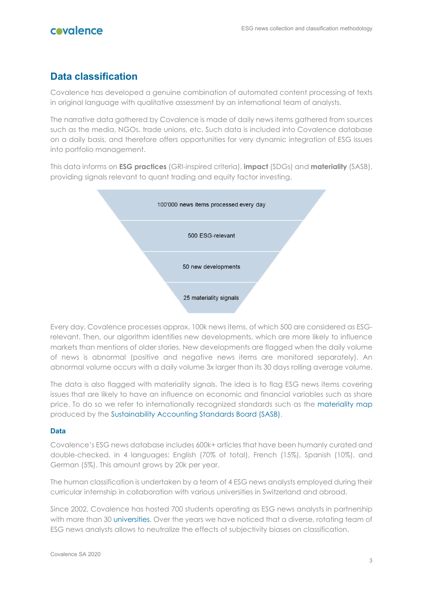

## **Data classification**

Covalence has developed a genuine combination of automated content processing of texts in original language with qualitative assessment by an international team of analysts.

The narrative data gathered by Covalence is made of daily news items gathered from sources such as the media, NGOs, trade unions, etc. Such data is included into Covalence database on a daily basis, and therefore offers opportunities for very dynamic integration of ESG issues into portfolio management.

This data informs on **ESG practices** (GRI-inspired criteria), **impact** (SDGs) and **materiality** (SASB), providing signals relevant to quant trading and equity factor investing.



Every day, Covalence processes approx. 100k news items, of which 500 are considered as ESGrelevant. Then, our algorithm identifies new developments, which are more likely to influence markets than mentions of older stories. New developments are flagged when the daily volume of news is abnormal (positive and negative news items are monitored separately). An abnormal volume occurs with a daily volume 3x larger than its 30 days rolling average volume.

The data is also flagged with materiality signals. The idea is to flag ESG news items covering issues that are likely to have an influence on economic and financial variables such as share price. To do so we refer to internationally recognized standards such as the [materiality map](https://materiality.sasb.org/) produced by the [Sustainability Accounting Standards Board \(SASB\).](https://www.sasb.org/)

#### **Data**

Covalence's ESG news database includes 600k+ articles that have been humanly curated and double-checked, in 4 languages: English (70% of total), French (15%), Spanish (10%), and German (5%). This amount grows by 20k per year.

The human classification is undertaken by a team of 4 ESG news analysts employed during their curricular internship in collaboration with various universities in Switzerland and abroad.

Since 2002, Covalence has hosted 700 students operating as ESG news analysts in partnership with more than 30 [universities.](https://www.covalence.ch/index.php/about-us/team/academic-partners/) Over the years we have noticed that a diverse, rotating team of ESG news analysts allows to neutralize the effects of subjectivity biases on classification.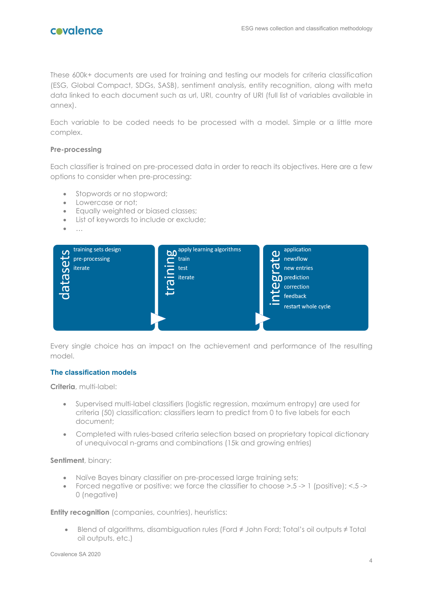

These 600k+ documents are used for training and testing our models for criteria classification (ESG, Global Compact, SDGs, SASB), sentiment analysis, entity recognition, along with meta data linked to each document such as url, URI, country of URI (full list of variables available in annex).

Each variable to be coded needs to be processed with a model. Simple or a little more complex.

#### **Pre-processing**

Each classifier is trained on pre-processed data in order to reach its objectives. Here are a few options to consider when pre-processing:

- Stopwords or no stopword;
- Lowercase or not;
- Equally weighted or biased classes;
- List of keywords to include or exclude;
- …



Every single choice has an impact on the achievement and performance of the resulting model.

#### **The classification models**

**Criteria**, multi-label:

- Supervised multi-label classifiers (logistic regression, maximum entropy) are used for criteria (50) classification: classifiers learn to predict from 0 to five labels for each document;
- Completed with rules-based criteria selection based on proprietary topical dictionary of unequivocal n-grams and combinations (15k and growing entries)

#### **Sentiment**, binary:

- Naïve Bayes binary classifier on pre-processed large training sets;
- Forced negative or positive: we force the classifier to choose  $> 0.5 1$  (positive);  $< 0.5 5$ 0 (negative)

**Entity recognition** (companies, countries), heuristics:

• Blend of algorithms, disambiguation rules (Ford ≠ John Ford; Total's oil outputs ≠ Total oil outputs, etc.)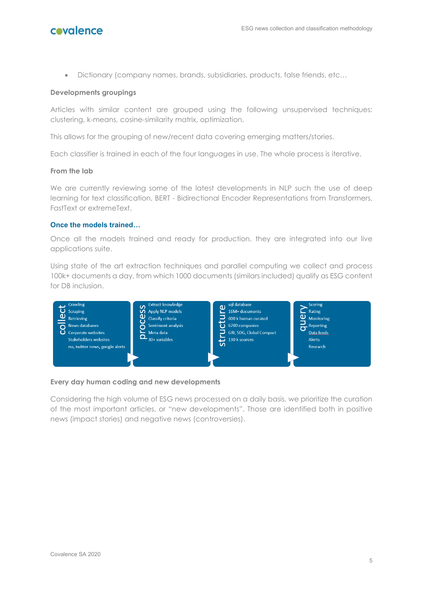

• Dictionary (company names, brands, subsidiaries, products, false friends, etc…

#### **Developments groupings**

Articles with similar content are grouped using the following unsupervised techniques: clustering, k-means, cosine-similarity matrix, optimization.

This allows for the grouping of new/recent data covering emerging matters/stories.

Each classifier is trained in each of the four languages in use. The whole process is iterative.

#### **From the lab**

We are currently reviewing some of the latest developments in NLP such the use of deep learning for text classification, BERT - Bidirectional Encoder Representations from Transformers, FastText or extremeText.

#### **Once the models trained…**

Once all the models trained and ready for production, they are integrated into our live applications suite.

Using state of the art extraction techniques and parallel computing we collect and process 100k+ documents a day, from which 1000 documents (similars included) qualify as ESG content for DB inclusion.



#### **Every day human coding and new developments**

Considering the high volume of ESG news processed on a daily basis, we prioritize the curation of the most important articles, or "new developments". Those are identified both in positive news (impact stories) and negative news (controversies).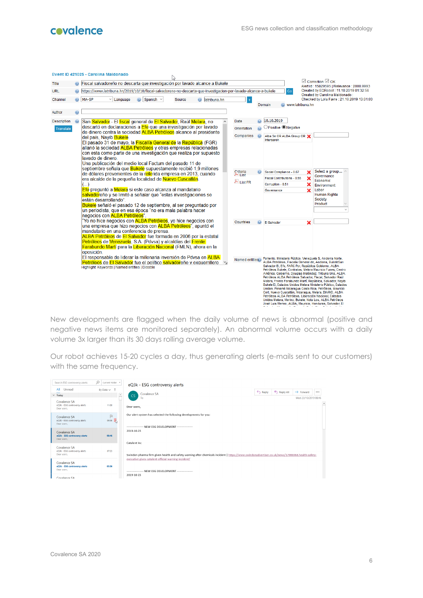

|             |  | EVent ID 421025 - Carolina Maldonado<br>D                                                                                                           |                             |  |                                                                                                                                                                |                                                                                                                                                                                                                                                                                                                                                                                                                                                                                                                                                                                                                   |                                                                                |  |  |  |  |
|-------------|--|-----------------------------------------------------------------------------------------------------------------------------------------------------|-----------------------------|--|----------------------------------------------------------------------------------------------------------------------------------------------------------------|-------------------------------------------------------------------------------------------------------------------------------------------------------------------------------------------------------------------------------------------------------------------------------------------------------------------------------------------------------------------------------------------------------------------------------------------------------------------------------------------------------------------------------------------------------------------------------------------------------------------|--------------------------------------------------------------------------------|--|--|--|--|
| Title       |  | Fiscal salvadoreño no descarta que investigación por lavado alcance a Bukele                                                                        |                             |  |                                                                                                                                                                |                                                                                                                                                                                                                                                                                                                                                                                                                                                                                                                                                                                                                   | $\boxdot$ Correction $\boxdot$ OK<br>Alert id: 15829595   Relevance: 2000.9993 |  |  |  |  |
| URL         |  | https://www.latribuna.hn/2019/10/10/fiscal-salvadoreno-no-descarta-que-investigacion-por-lavado-alcance-a-bukele                                    |                             |  | Go                                                                                                                                                             |                                                                                                                                                                                                                                                                                                                                                                                                                                                                                                                                                                                                                   | Created by EQRobot: 11.10.2019 01:32:56                                        |  |  |  |  |
| Channel     |  | Spanish $\vee$<br>MA-SP<br>latribuna.hn<br>Language<br>Source                                                                                       |                             |  | www.latribuna.hn<br>Domain                                                                                                                                     |                                                                                                                                                                                                                                                                                                                                                                                                                                                                                                                                                                                                                   | Created by Carolina Maldonado:<br>Checked by Lola Favre: 21.10.2019 13:01:03   |  |  |  |  |
| Author      |  |                                                                                                                                                     |                             |  |                                                                                                                                                                |                                                                                                                                                                                                                                                                                                                                                                                                                                                                                                                                                                                                                   |                                                                                |  |  |  |  |
| Description |  | San Salvador.- El fiscal general de El Salvador, Raúl Melara, no                                                                                    | Date                        |  | 10.10.2019                                                                                                                                                     |                                                                                                                                                                                                                                                                                                                                                                                                                                                                                                                                                                                                                   |                                                                                |  |  |  |  |
| Translate   |  | descartó en declaraciones a Efe que una investigación por lavado<br>de dinero contra la sociedad ALBA Petróleos alcance al presidente               | Orientation                 |  | Positive ONegative                                                                                                                                             |                                                                                                                                                                                                                                                                                                                                                                                                                                                                                                                                                                                                                   |                                                                                |  |  |  |  |
|             |  | del país. Navib Bukele.                                                                                                                             | Companies                   |  | Alba Se OR ALBA Group OR X<br>Interseroh                                                                                                                       |                                                                                                                                                                                                                                                                                                                                                                                                                                                                                                                                                                                                                   |                                                                                |  |  |  |  |
|             |  | El pasado 31 de mayo, la Fiscalía General de la República (FGR)<br>allanó la sociedad ALBA Petróleos y otras empresas relacionadas                  |                             |  |                                                                                                                                                                |                                                                                                                                                                                                                                                                                                                                                                                                                                                                                                                                                                                                                   |                                                                                |  |  |  |  |
|             |  | con esta como parte de una investigación que realiza por supuesto<br>lavado de dinero.                                                              |                             |  |                                                                                                                                                                |                                                                                                                                                                                                                                                                                                                                                                                                                                                                                                                                                                                                                   |                                                                                |  |  |  |  |
|             |  | Una publicación del medio local Factum del pasado 11 de                                                                                             |                             |  |                                                                                                                                                                |                                                                                                                                                                                                                                                                                                                                                                                                                                                                                                                                                                                                                   |                                                                                |  |  |  |  |
|             |  | septiembre señala que <b>Bukele</b> supuestamente recibió 1,9 millones                                                                              | Criteria                    |  | Social Compliance - 0.87                                                                                                                                       |                                                                                                                                                                                                                                                                                                                                                                                                                                                                                                                                                                                                                   | Select a group                                                                 |  |  |  |  |
|             |  | de dólares provenientes de la referida empresa en 2013, cuando<br>era alcalde de la pequeña localidad de Nuevo Cuscatlán.                           | List                        |  | <b>Fiscal Contributions - 0.55</b>                                                                                                                             | ×                                                                                                                                                                                                                                                                                                                                                                                                                                                                                                                                                                                                                 | Governance                                                                     |  |  |  |  |
|             |  | ()                                                                                                                                                  | A List FR                   |  | Corruption - 0.51                                                                                                                                              | ×                                                                                                                                                                                                                                                                                                                                                                                                                                                                                                                                                                                                                 | Economic<br>Environment                                                        |  |  |  |  |
|             |  | Efe preguntó a Melara si este caso alcanza al mandatario                                                                                            |                             |  | Governance                                                                                                                                                     | $\boldsymbol{\mathsf{x}}$                                                                                                                                                                                                                                                                                                                                                                                                                                                                                                                                                                                         | Labor                                                                          |  |  |  |  |
|             |  | salvadoreño y se limitó a señalar que "estas investigaciones se<br>están desarrollando".                                                            |                             |  |                                                                                                                                                                |                                                                                                                                                                                                                                                                                                                                                                                                                                                                                                                                                                                                                   | Human Rights<br>Society                                                        |  |  |  |  |
|             |  | Bukele señaló el pasado 12 de septiembre, al ser preguntado por                                                                                     |                             |  |                                                                                                                                                                |                                                                                                                                                                                                                                                                                                                                                                                                                                                                                                                                                                                                                   | Product                                                                        |  |  |  |  |
|             |  | un periodista, que en esa época "no era mala palabra hacer                                                                                          |                             |  |                                                                                                                                                                |                                                                                                                                                                                                                                                                                                                                                                                                                                                                                                                                                                                                                   |                                                                                |  |  |  |  |
|             |  | negocios con ALBA Petróleos".                                                                                                                       |                             |  |                                                                                                                                                                |                                                                                                                                                                                                                                                                                                                                                                                                                                                                                                                                                                                                                   |                                                                                |  |  |  |  |
|             |  | "Yo no hice negocios con <mark>ALBA Petróleos</mark> , yo hice negocios con<br>una empresa que hizo negocios con <b>ALBA Petróleos</b> ", apuntó el | Countries                   |  | <b>El Salvador</b>                                                                                                                                             | ×                                                                                                                                                                                                                                                                                                                                                                                                                                                                                                                                                                                                                 |                                                                                |  |  |  |  |
|             |  | mandatario en una conferencia de prensa.                                                                                                            |                             |  |                                                                                                                                                                |                                                                                                                                                                                                                                                                                                                                                                                                                                                                                                                                                                                                                   |                                                                                |  |  |  |  |
|             |  | <b>ALBA Petróleos</b> de El Salvador fue formada en 2006 por la estatal                                                                             |                             |  |                                                                                                                                                                |                                                                                                                                                                                                                                                                                                                                                                                                                                                                                                                                                                                                                   |                                                                                |  |  |  |  |
|             |  | Petróleos de Venezuela, S.A. (Pdvsa) y alcaldías del Frente                                                                                         |                             |  |                                                                                                                                                                |                                                                                                                                                                                                                                                                                                                                                                                                                                                                                                                                                                                                                   |                                                                                |  |  |  |  |
|             |  | Farabundo Martí para la Liberación Nacional (FMLN), ahora en la<br>oposición.                                                                       |                             |  |                                                                                                                                                                |                                                                                                                                                                                                                                                                                                                                                                                                                                                                                                                                                                                                                   |                                                                                |  |  |  |  |
|             |  | El responsable de liderar la millonaria inversión de Pdysa en ALBA                                                                                  |                             |  | Fomento, Ministerio Público, Venezuela S. Andorra Norte.                                                                                                       |                                                                                                                                                                                                                                                                                                                                                                                                                                                                                                                                                                                                                   |                                                                                |  |  |  |  |
|             |  | Petróleos de El Salvador fue el político salvadoreño y exquerrillero y<br>Highlight Keywords   Named entities   Disable                             | Named entities <sup>®</sup> |  |                                                                                                                                                                | ALBA Petróleos, Fiscalía General de, Andorra, BukeleSan<br>Salvador El, Efe, FARC Por, República Gobierno, ALBA<br>Petróleos Bukele, Contratas, Melara Mauricio Funes, Centro<br>América, Gobierno, Douglas Meléndez, Tribuna Una, ALBA<br>Petróleos ALBA Petróleos Salvador, Fiscal, Salvador Raúl<br>Melara, Frente Farabundo Martí, República, Salvador, Nayib<br>Bukele El, Estados Unidos Melara Ministerio Público, Estados<br>Unidos, Panamá Nicaraqua Costa Rica, Petróleos, Mauricio<br>Cort, Nuevo Cuscatlán, Nicaraqua, Melara, DIARIO, ALBA<br>Petróleos ALBA Petróleos, Liberación Nacional, Estados |                                                                                |  |  |  |  |
|             |  |                                                                                                                                                     |                             |  | Unidos Melara, Merino, Bukele, Nota Los, ALBA Petróleos<br>José Luis Merino, ALBA, Mauricio, Honduras, Salvador, El<br><b>Allen Artists</b><br><b>Contract</b> | <b><i>Committee</i></b>                                                                                                                                                                                                                                                                                                                                                                                                                                                                                                                                                                                           |                                                                                |  |  |  |  |

New developments are flagged when the daily volume of news is abnormal (positive and negative news items are monitored separately). An abnormal volume occurs with a daily volume 3x larger than its 30 days rolling average volume.

Our robot achieves 15-20 cycles a day, thus generating alerts (e-mails sent to our customers) with the same frequency.

| Search ESG controversy alerts                                | Q<br>Current Folder - | eQ3k - ESG controversy alerts                                                                                                                   |                    |           |                       |          |  |  |  |  |  |  |  |
|--------------------------------------------------------------|-----------------------|-------------------------------------------------------------------------------------------------------------------------------------------------|--------------------|-----------|-----------------------|----------|--|--|--|--|--|--|--|
| All<br>Unread                                                | By Date $\sim$ 1      | Covalence SA                                                                                                                                    | $\leftarrow$ Reply | Reply All | $\rightarrow$ Forward | $\cdots$ |  |  |  |  |  |  |  |
| $\times$ Today                                               | l al<br>-             | CS<br>To                                                                                                                                        |                    |           | Wed 23/10/2019 08:46  |          |  |  |  |  |  |  |  |
| Covalence SA<br>eQ3k - ESG controversy alerts<br>Dear users. | 11:00                 | Dear users.                                                                                                                                     |                    |           |                       |          |  |  |  |  |  |  |  |
| Covalence SA<br>eQ3k - ESG controversy alerts<br>Dear users. | 扣<br>09:58            | Our alert system has selected the following developments for you:                                                                               |                    |           |                       |          |  |  |  |  |  |  |  |
| Covalence SA<br>eQ3k - ESG controversy alerts<br>Dear users. | 08:46                 | 2019-10-23<br>Catalent Inc.                                                                                                                     |                    |           |                       |          |  |  |  |  |  |  |  |
| Covalence SA<br>eQ3k - ESG controversy alerts<br>Dear users, | 07:23                 | Swindon pharma firm given health and safety warning after chemicals incident   https://www.swindonadvertiser.co.uk/news/17986968.health-safety- |                    |           |                       |          |  |  |  |  |  |  |  |
| Covalence SA<br>eQ3k - ESG controversy alerts<br>Dear users. | 05:06                 | executive-gives-catalent-official-warning-incident/<br>------------------- NEW ESG DEVELOPMENT ------------------                               |                    |           |                       |          |  |  |  |  |  |  |  |
| Covalence SA                                                 |                       | 2019-10-23                                                                                                                                      |                    |           |                       |          |  |  |  |  |  |  |  |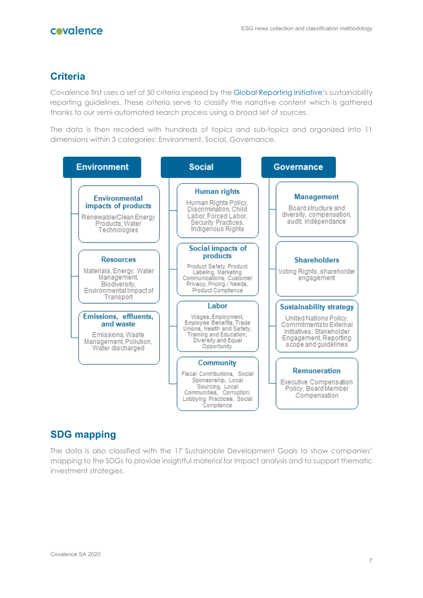# covalence

# **Criteria**

Covalence first uses a set of 50 criteria inspired by the [Global Reporting Initiative'](https://www.globalreporting.org/)s sustainability reporting guidelines. These criteria serve to classify the narrative content which is gathered thanks to our semi-automated search process using a broad set of sources.

The data is then recoded with hundreds of topics and sub-topics and organized into 11 dimensions within 3 categories: Environment, Social, Governance.

| <b>Environment</b>                                                                                                   | <b>Social</b>                                                                                                                                                     | <b>Governance</b>                                                                                                                                                |
|----------------------------------------------------------------------------------------------------------------------|-------------------------------------------------------------------------------------------------------------------------------------------------------------------|------------------------------------------------------------------------------------------------------------------------------------------------------------------|
| <b>Environmental</b><br>impacts of products<br>Renewable/Clean Energy<br>Products; Water<br>Technologies             | <b>Human rights</b><br>Human Rights Policy.<br>Discrimination, Child<br>Labor, Forced Labor,<br>Security Practices,<br>Indigenous Rights                          | <b>Management</b><br>Board structure and<br>diversity, compensation,<br>audit, indépendance                                                                      |
| <b>Resources</b><br>Materials, Energy, Water<br>Management.<br>Biodiversity.<br>Environmental Impact of<br>Transport | Social impacts of<br>products<br>Product Safety, Product<br>Labeling, Marketing<br>Communications, Customer<br>Privacy, Pricing / Needs,<br>Product Compliance    | <b>Shareholders</b><br>Voting Rights, shareholder<br>engagement                                                                                                  |
| Emissions, effluents,<br>and waste<br>Emissions, Waste<br>Management, Pollution,<br>Water discharged                 | Labor<br>Wages, Employment,<br>Employee Benefits, Trade<br>Unions, Health and Safety.<br>Training and Education,<br>Diversity and Equal<br>Opportunity            | <b>Sustainability strategy</b><br>United Nations Policy,<br>Commitments to External<br>Initiatives, Stakeholder<br>Engagement, Reporting<br>scope and quidelines |
|                                                                                                                      | <b>Community</b><br>Fiscal Contributions, Social<br>Sponsorship, Local<br>Sourcing, Local<br>Communities, Corruption,<br>Lobbying Practices, Social<br>Compliance | Remuneration<br>Executive Compensation<br>Policy, Board Member<br>Compensation                                                                                   |

# **SDG mapping**

The data is also classified with the 17 Sustainable Development Goals to show companies' mapping to the SDGs to provide insightful material for impact analysis and to support thematic investment strategies.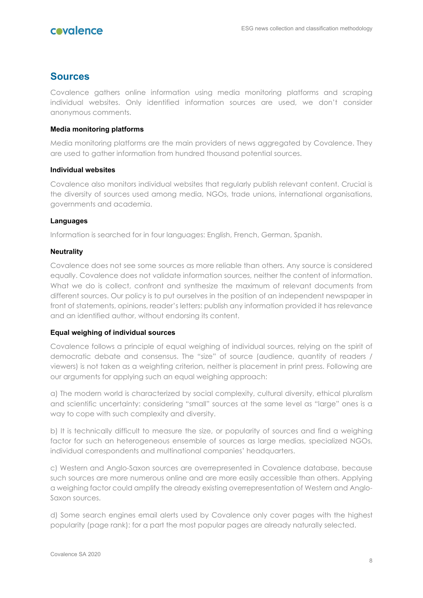### **Sources**

Covalence gathers online information using media monitoring platforms and scraping individual websites. Only identified information sources are used, we don't consider anonymous comments.

#### **Media monitoring platforms**

Media monitoring platforms are the main providers of news aggregated by Covalence. They are used to gather information from hundred thousand potential sources.

#### **Individual websites**

Covalence also monitors individual websites that regularly publish relevant content. Crucial is the diversity of sources used among media, NGOs, trade unions, international organisations, governments and academia.

#### **Languages**

Information is searched for in four languages: English, French, German, Spanish.

#### **Neutrality**

Covalence does not see some sources as more reliable than others. Any source is considered equally. Covalence does not validate information sources, neither the content of information. What we do is collect, confront and synthesize the maximum of relevant documents from different sources. Our policy is to put ourselves in the position of an independent newspaper in front of statements, opinions, reader's letters: publish any information provided it has relevance and an identified author, without endorsing its content.

#### **Equal weighing of individual sources**

Covalence follows a principle of equal weighing of individual sources, relying on the spirit of democratic debate and consensus. The "size" of source (audience, quantity of readers / viewers) is not taken as a weighting criterion, neither is placement in print press. Following are our arguments for applying such an equal weighing approach:

a) The modern world is characterized by social complexity, cultural diversity, ethical pluralism and scientific uncertainty: considering "small" sources at the same level as "large" ones is a way to cope with such complexity and diversity.

b) It is technically difficult to measure the size, or popularity of sources and find a weighing factor for such an heterogeneous ensemble of sources as large medias, specialized NGOs, individual correspondents and multinational companies' headquarters.

c) Western and Anglo-Saxon sources are overrepresented in Covalence database, because such sources are more numerous online and are more easily accessible than others. Applying a weighing factor could amplify the already existing overrepresentation of Western and Anglo-Saxon sources.

d) Some search engines email alerts used by Covalence only cover pages with the highest popularity (page rank): for a part the most popular pages are already naturally selected.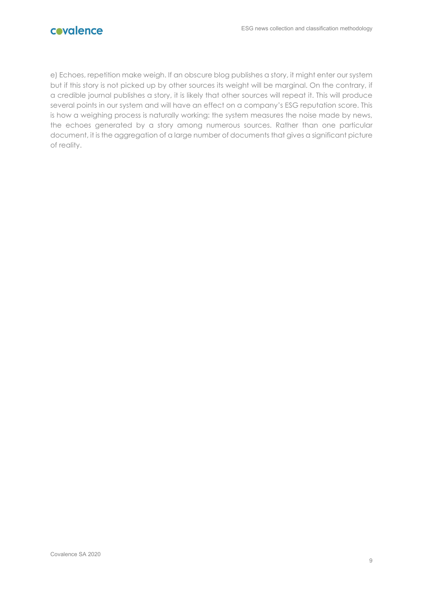

e) Echoes, repetition make weigh. If an obscure blog publishes a story, it might enter our system but if this story is not picked up by other sources its weight will be marginal. On the contrary, if a credible journal publishes a story, it is likely that other sources will repeat it. This will produce several points in our system and will have an effect on a company's ESG reputation score. This is how a weighing process is naturally working: the system measures the noise made by news, the echoes generated by a story among numerous sources. Rather than one particular document, it is the aggregation of a large number of documents that gives a significant picture of reality.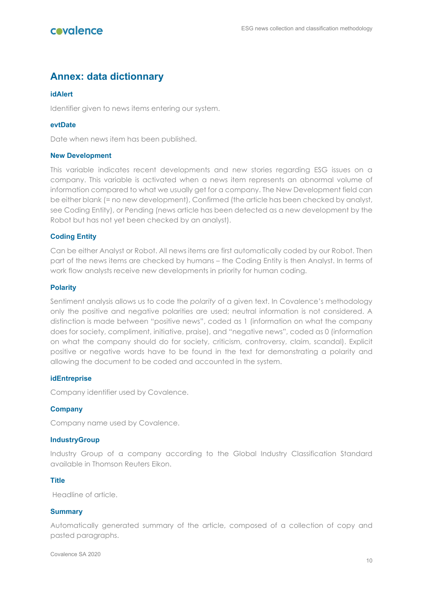# **Annex: data dictionnary**

#### **idAlert**

Identifier given to news items entering our system.

#### **evtDate**

Date when news item has been published.

#### **New Development**

This variable indicates recent developments and new stories regarding ESG issues on a company. This variable is activated when a news item represents an abnormal volume of information compared to what we usually get for a company. The New Development field can be either blank (= no new development), Confirmed (the article has been checked by analyst, see Coding Entity), or Pending (news article has been detected as a new development by the Robot but has not yet been checked by an analyst).

#### **Coding Entity**

Can be either Analyst or Robot. All news items are first automatically coded by our Robot. Then part of the news items are checked by humans – the Coding Entity is then Analyst. In terms of work flow analysts receive new developments in priority for human coding.

#### **Polarity**

Sentiment analysis allows us to code the *polarity* of a given text. In Covalence's methodology only the positive and negative polarities are used; neutral information is not considered. A distinction is made between "positive news", coded as 1 (information on what the company does for society, compliment, initiative, praise), and "negative news", coded as 0 (information on what the company should do for society, criticism, controversy, claim, scandal). Explicit positive or negative words have to be found in the text for demonstrating a polarity and allowing the document to be coded and accounted in the system.

#### **idEntreprise**

Company identifier used by Covalence.

#### **Company**

Company name used by Covalence.

#### **IndustryGroup**

Industry Group of a company according to the Global Industry Classification Standard available in Thomson Reuters Eikon.

#### **Title**

Headline of article.

#### **Summary**

Automatically generated summary of the article, composed of a collection of copy and pasted paragraphs.

Covalence SA 2020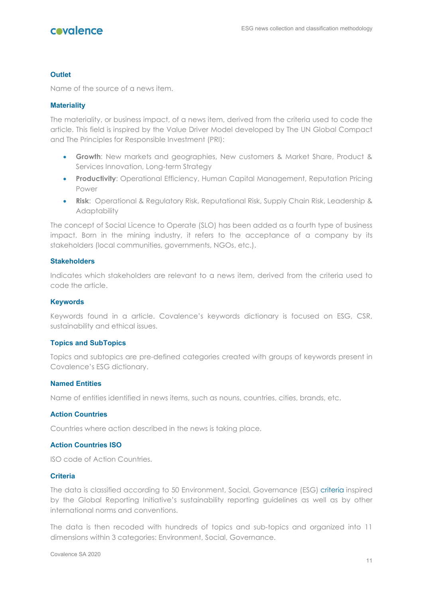## covalence

#### **Outlet**

Name of the source of a news item.

#### **Materiality**

The materiality, or business impact, of a news item, derived from the criteria used to code the article. This field is inspired by the Value Driver Model developed by The UN Global Compact and The Principles for Responsible Investment (PRI):

- **Growth**: New markets and geographies, New customers & Market Share, Product & Services Innovation, Long-term Strategy
- **Productivity**: Operational Efficiency, Human Capital Management, Reputation Pricing Power
- **Risk**: Operational & Regulatory Risk, Reputational Risk, Supply Chain Risk, Leadership & **Adaptability**

The concept of Social Licence to Operate (SLO) has been added as a fourth type of business impact. Born in the mining industry, it refers to the acceptance of a company by its stakeholders (local communities, governments, NGOs, etc.).

#### **Stakeholders**

Indicates which stakeholders are relevant to a news item, derived from the criteria used to code the article.

#### **Keywords**

Keywords found in a article. Covalence's keywords dictionary is focused on ESG, CSR, sustainability and ethical issues.

#### **Topics and SubTopics**

Topics and subtopics are pre-defined categories created with groups of keywords present in Covalence's ESG dictionary.

#### **Named Entities**

Name of entities identified in news items, such as nouns, countries, cities, brands, etc.

#### **Action Countries**

Countries where action described in the news is taking place.

#### **Action Countries ISO**

ISO code of Action Countries.

#### **Criteria**

The data is classified according to 50 Environment, Social, Governance (ESG) [criteria](https://www.covalence.ch/index.php/approach/criteria/) inspired by the Global Reporting Initiative's sustainability reporting guidelines as well as by other international norms and conventions.

The data is then recoded with hundreds of topics and sub-topics and organized into 11 dimensions within 3 categories: Environment, Social, Governance.

Covalence SA 2020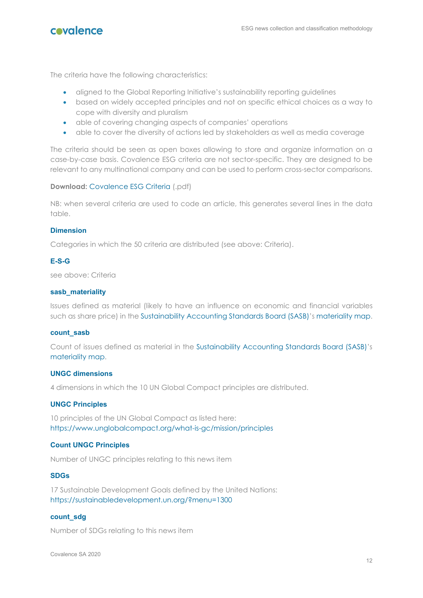

The criteria have the following characteristics:

- aligned to the Global Reporting Initiative's sustainability reporting guidelines
- based on widely accepted principles and not on specific ethical choices as a way to cope with diversity and pluralism
- able of covering changing aspects of companies' operations
- able to cover the diversity of actions led by stakeholders as well as media coverage

The criteria should be seen as open boxes allowing to store and organize information on a case-by-case basis. Covalence ESG criteria are not sector-specific. They are designed to be relevant to any multinational company and can be used to perform cross-sector comparisons.

#### **Download:** [Covalence ESG Criteria](https://www.covalence.ch/docs/CovalenceESGCriteria.pdf) (.pdf)

NB: when several criteria are used to code an article, this generates several lines in the data table.

#### **Dimension**

Categories in which the 50 criteria are distributed (see above: Criteria).

#### **E-S-G**

see above: Criteria

#### **sasb\_materiality**

Issues defined as material (likely to have an influence on economic and financial variables such as share price) in the [Sustainability Accounting Standards Board \(SASB\)'](https://www.sasb.org/)s [materiality map.](https://materiality.sasb.org/)

#### **count\_sasb**

Count of issues defined as material in the [Sustainability Accounting Standards Board \(SASB\)'](https://www.sasb.org/)s [materiality map.](https://materiality.sasb.org/)

#### **UNGC dimensions**

4 dimensions in which the 10 UN Global Compact principles are distributed.

#### **UNGC Principles**

10 principles of the UN Global Compact as listed here: <https://www.unglobalcompact.org/what-is-gc/mission/principles>

#### **Count UNGC Principles**

Number of UNGC principles relating to this news item

#### **SDGs**

17 Sustainable Development Goals defined by the United Nations: <https://sustainabledevelopment.un.org/?menu=1300>

#### **count\_sdg**

Number of SDGs relating to this news item